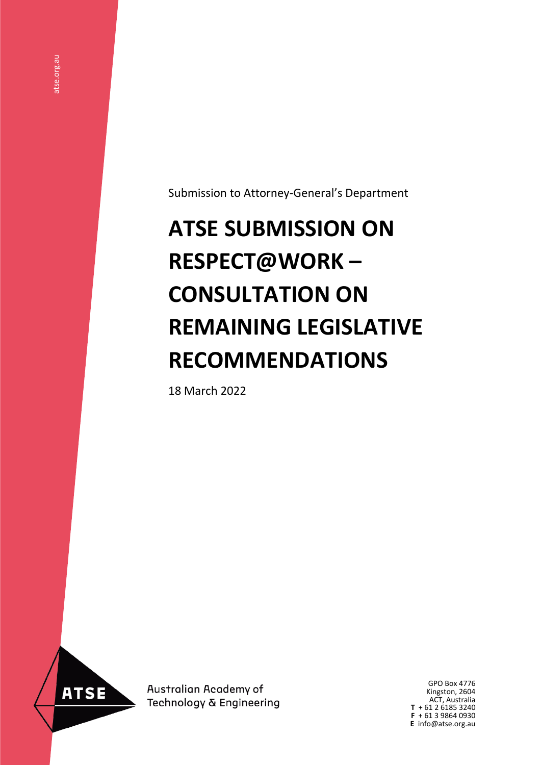Submission to Attorney-General's Department

# **ATSE SUBMISSION ON RESPECT@WORK – CONSULTATION ON REMAINING LEGISLATIVE RECOMMENDATIONS**

18 March 2022



**ATSE** 

Australian Academy of Technology & Engineering

GPO Box 4776 Kingston, 2604 ACT, Australia **T** + 61 2 6185 3240 **F** + 61 3 9864 0930 **E** info@atse.org.au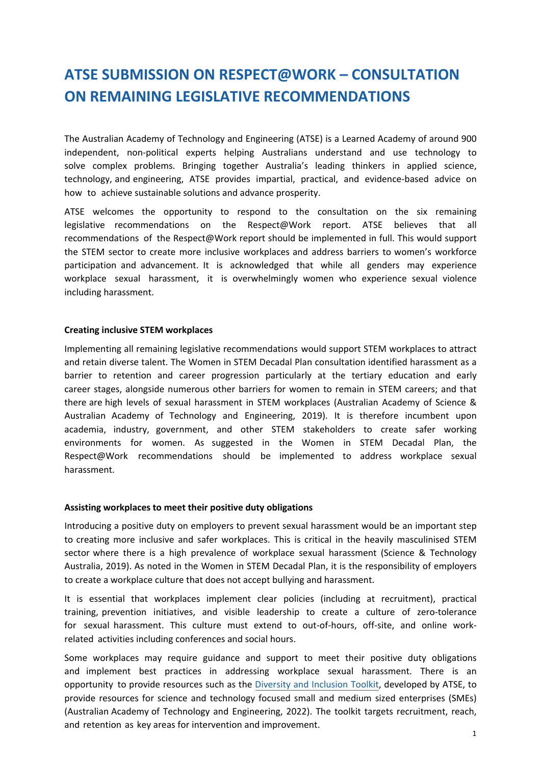# **ATSE SUBMISSION ON RESPECT@WORK – CONSULTATION ON REMAINING LEGISLATIVE RECOMMENDATIONS**

The Australian Academy of Technology and Engineering (ATSE) is a Learned Academy of around 900 independent, non-political experts helping Australians understand and use technology to solve complex problems. Bringing together Australia's leading thinkers in applied science, technology, and engineering, ATSE provides impartial, practical, and evidence-based advice on how to achieve sustainable solutions and advance prosperity.

ATSE welcomes the opportunity to respond to the consultation on the six remaining legislative recommendations on the Respect@Work report. ATSE believes that all recommendations of the Respect@Work report should be implemented in full. This would support the STEM sector to create more inclusive workplaces and address barriers to women's workforce participation and advancement. It is acknowledged that while all genders may experience workplace sexual harassment, it is overwhelmingly women who experience sexual violence including harassment.

### **Creating inclusive STEM workplaces**

Implementing all remaining legislative recommendations would support STEM workplaces to attract and retain diverse talent. The Women in STEM Decadal Plan consultation identified harassment as a barrier to retention and career progression particularly at the tertiary education and early career stages, alongside numerous other barriers for women to remain in STEM careers; and that there are high levels of sexual harassment in STEM workplaces (Australian Academy of Science & Australian Academy of Technology and Engineering, 2019). It is therefore incumbent upon academia, industry, government, and other STEM stakeholders to create safer working environments for women. As suggested in the Women in STEM Decadal Plan, the Respect@Work recommendations should be implemented to address workplace sexual harassment.

#### **Assisting workplaces to meet their positive duty obligations**

Introducing a positive duty on employers to prevent sexual harassment would be an important step to creating more inclusive and safer workplaces. This is critical in the heavily masculinised STEM sector where there is a high prevalence of workplace sexual harassment (Science & Technology Australia, 2019). As noted in the Women in STEM Decadal Plan, it is the responsibility of employers to create a workplace culture that does not accept bullying and harassment.

It is essential that workplaces implement clear policies (including at recruitment), practical training, prevention initiatives, and visible leadership to create a culture of zero-tolerance for sexual harassment. This culture must extend to out-of-hours, off-site, and online workrelated activities including conferences and social hours.

Some workplaces may require guidance and support to meet their positive duty obligations and implement best practices in addressing workplace sexual harassment. There is an opportunity to provide resources such as the [Diversity and Inclusion Toolkit,](https://www.atse.org.au/wp-content/uploads/2022/01/DOC-DI-Toolkit-PILOT-220106b.pdf) developed by ATSE, to provide resources for science and technology focused small and medium sized enterprises (SMEs) (Australian Academy of Technology and Engineering, 2022). The toolkit targets recruitment, reach, and retention as key areas for intervention and improvement.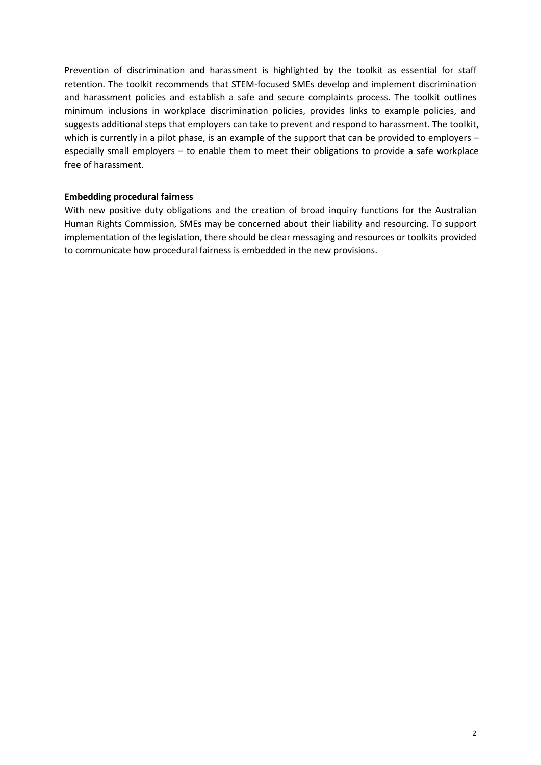Prevention of discrimination and harassment is highlighted by the toolkit as essential for staff retention. The toolkit recommends that STEM-focused SMEs develop and implement discrimination and harassment policies and establish a safe and secure complaints process. The toolkit outlines minimum inclusions in workplace discrimination policies, provides links to example policies, and suggests additional steps that employers can take to prevent and respond to harassment. The toolkit, which is currently in a pilot phase, is an example of the support that can be provided to employers – especially small employers – to enable them to meet their obligations to provide a safe workplace free of harassment.

# **Embedding procedural fairness**

With new positive duty obligations and the creation of broad inquiry functions for the Australian Human Rights Commission, SMEs may be concerned about their liability and resourcing. To support implementation of the legislation, there should be clear messaging and resources or toolkits provided to communicate how procedural fairness is embedded in the new provisions.